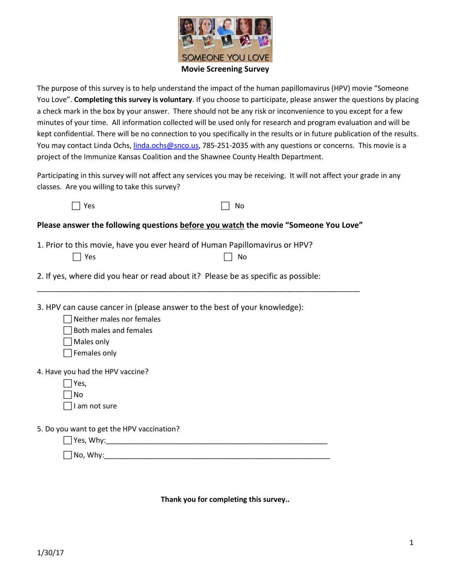

The purpose of this survey is to help understand the impact of the human papillomavirus (HPV) movie "Someone You Love". **Completing this survey is voluntary**. If you choose to participate, please answer the questions by placing a check mark in the box by your answer. There should not be any risk or inconvenience to you except for a few minutes of your time. All information collected will be used only for research and program evaluation and will be kept confidential. There will be no connection to you specifically in the results or in future publication of the results. You may contact Linda Ochs, [linda.ochs@snco.us,](mailto:linda.ochs@snco.us) 785-251-2035 with any questions or concerns. This movie is a project of the Immunize Kansas Coalition and the Shawnee County Health Department.

Participating in this survey will not affect any services you may be receiving. It will not affect your grade in any classes. Are you willing to take this survey?

| $\Box$ Yes | $\Box$ No |
|------------|-----------|
|------------|-----------|

**Please answer the following questions before you watch the movie "Someone You Love"**

\_\_\_\_\_\_\_\_\_\_\_\_\_\_\_\_\_\_\_\_\_\_\_\_\_\_\_\_\_\_\_\_\_\_\_\_\_\_\_\_\_\_\_\_\_\_\_\_\_\_\_\_\_\_\_\_\_\_\_\_\_\_\_\_\_\_\_\_\_\_\_\_\_\_\_\_\_\_\_\_

1. Prior to this movie, have you ever heard of Human Papillomavirus or HPV?  $\Box$  Yes  $\Box$  No

|  |  | 2. If yes, where did you hear or read about it? Please be as specific as possible: |
|--|--|------------------------------------------------------------------------------------|
|  |  |                                                                                    |

3. HPV can cause cancer in (please answer to the best of your knowledge):

- $\Box$  Neither males nor females
- $\Box$  Both males and females
- $\Box$  Males only
- $\Box$  Females only

4. Have you had the HPV vaccine?

- $\Box$  Yes,
- $\Box$ No
- $\Box$ I am not sure

5. Do you want to get the HPV vaccination?

Yes, Why:\_\_\_\_\_\_\_\_\_\_\_\_\_\_\_\_\_\_\_\_\_\_\_\_\_\_\_\_\_\_\_\_\_\_\_\_\_\_\_\_\_\_\_\_\_\_\_\_\_\_\_\_\_\_\_

No, Why:\_\_\_\_\_\_\_\_\_\_\_\_\_\_\_\_\_\_\_\_\_\_\_\_\_\_\_\_\_\_\_\_\_\_\_\_\_\_\_\_\_\_\_\_\_\_\_\_\_\_\_\_\_\_\_\_

**Thank you for completing this survey..**